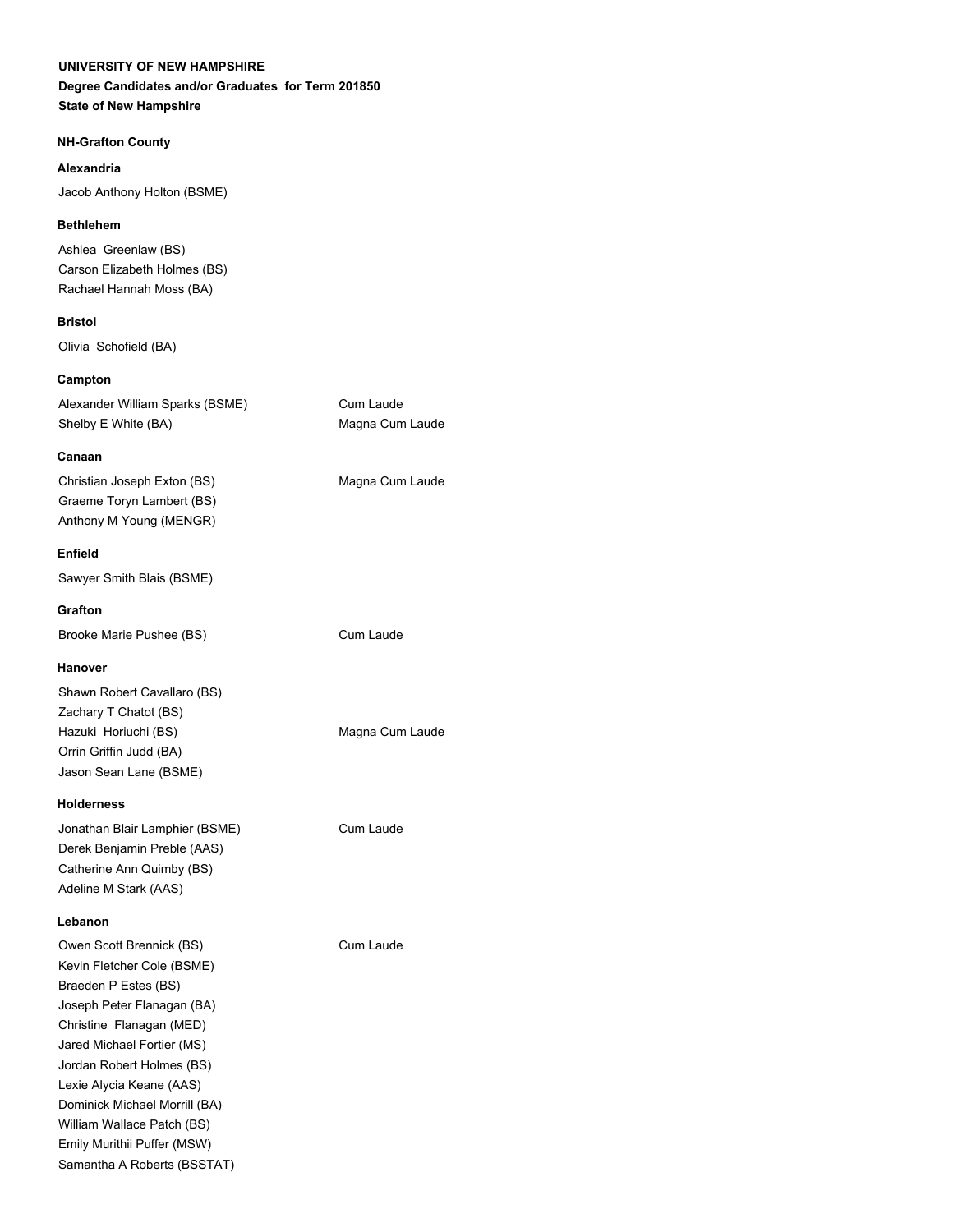## **UNIVERSITY OF NEW HAMPSHIRE**

# **Degree Candidates and/or Graduates for Term 201850**

**State of New Hampshire**

## **NH-Grafton County**

## **Alexandria**

Jacob Anthony Holton (BSME)

## **Bethlehem**

Ashlea Greenlaw (BS) Carson Elizabeth Holmes (BS) Rachael Hannah Moss (BA)

## **Bristol**

Olivia Schofield (BA)

## **Campton**

| Alexander William Sparks (BSME) |  |
|---------------------------------|--|
| Shelby E White (BA)             |  |

## **Canaan**

Christian Joseph Exton (BS) Magna Cum Laude Graeme Toryn Lambert (BS) Anthony M Young (MENGR)

## **Enfield**

Sawyer Smith Blais (BSME)

## **Grafton**

Brooke Marie Pushee (BS) Cum Laude

## **Hanover**

Shawn Robert Cavallaro (BS) Zachary T Chatot (BS) Hazuki Horiuchi (BS) Magna Cum Laude Orrin Griffin Judd (BA) Jason Sean Lane (BSME)

## **Holderness**

Jonathan Blair Lamphier (BSME) Cum Laude Derek Benjamin Preble (AAS) Catherine Ann Quimby (BS) Adeline M Stark (AAS)

## **Lebanon**

Owen Scott Brennick (BS) Cum Laude Kevin Fletcher Cole (BSME) Braeden P Estes (BS) Joseph Peter Flanagan (BA) Christine Flanagan (MED) Jared Michael Fortier (MS) Jordan Robert Holmes (BS) Lexie Alycia Keane (AAS) Dominick Michael Morrill (BA) William Wallace Patch (BS) Emily Murithii Puffer (MSW) Samantha A Roberts (BSSTAT)

Cum Laude Magna Cum Laude